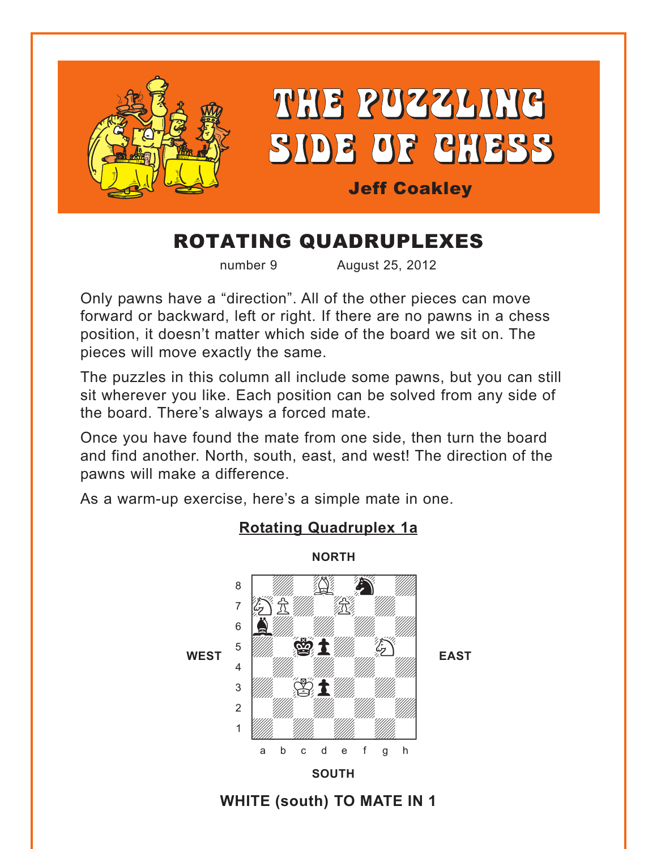<span id="page-0-0"></span>

# ROTATING QUADRUPLEXES

number 9 August 25, 2012

Only pawns have a "direction". All of the other pieces can move forward or backward, left or right. If there are no pawns in a chess position, it doesn't matter which side of the board we sit on. The pieces will move exactly the same.

The puzzles in this column all include some pawns, but you can still sit wherever you like. Each position can be solved from any side of the board. There's always a forced mate.

Once you have found the mate from one side, then turn the board and find another. North, south, east, and west! The direction of the pawns will make a difference.

As a warm-up exercise, here's a simple mate in one.



### **[Rotating Quadruplex 1a](#page-7-0)**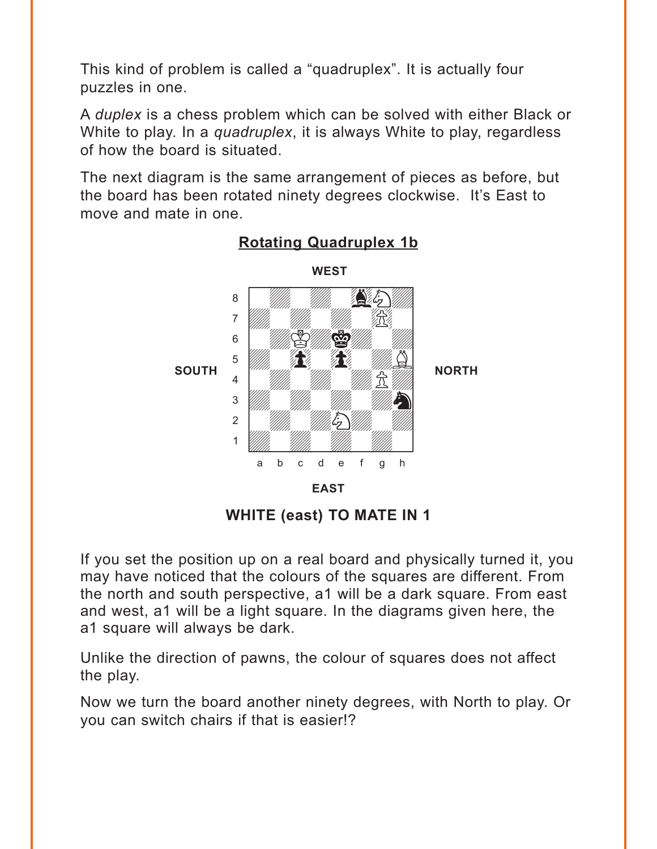<span id="page-1-0"></span>This kind of problem is called a "quadruplex". It is actually four puzzles in one.

A *duplex* is a chess problem which can be solved with either Black or White to play. In a *quadruplex*, it is always White to play, regardless of how the board is situated.

The next diagram is the same arrangement of pieces as before, but the board has been rotated ninety degrees clockwise. It's East to move and mate in one.



**[Rotating Quadruplex 1b](#page-8-0)**

**WHITE (east) TO MATE IN 1**

If you set the position up on a real board and physically turned it, you may have noticed that the colours of the squares are different. From the north and south perspective, a1 will be a dark square. From east and west, a1 will be a light square. In the diagrams given here, the a1 square will always be dark.

Unlike the direction of pawns, the colour of squares does not affect the play.

Now we turn the board another ninety degrees, with North to play. Or you can switch chairs if that is easier!?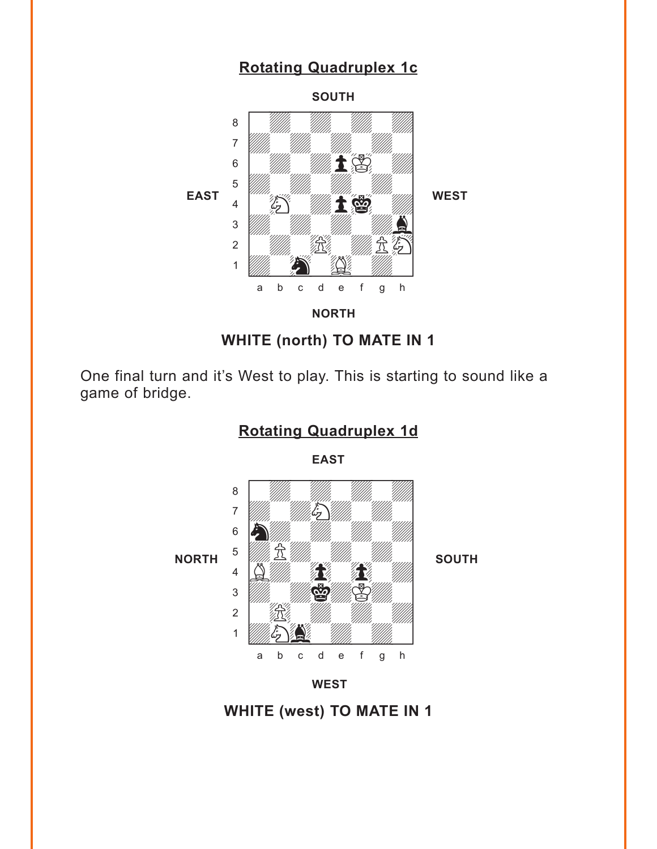# **[Rotating Quadruplex 1c](#page-8-0)**

<span id="page-2-0"></span>

**NORTH**

**WHITE (north) TO MATE IN 1**

One final turn and it's West to play. This is starting to sound like a game of bridge.

**[Rotating Quadruplex 1d](#page-8-0)**

**EAST**





**WHITE (west) TO MATE IN 1**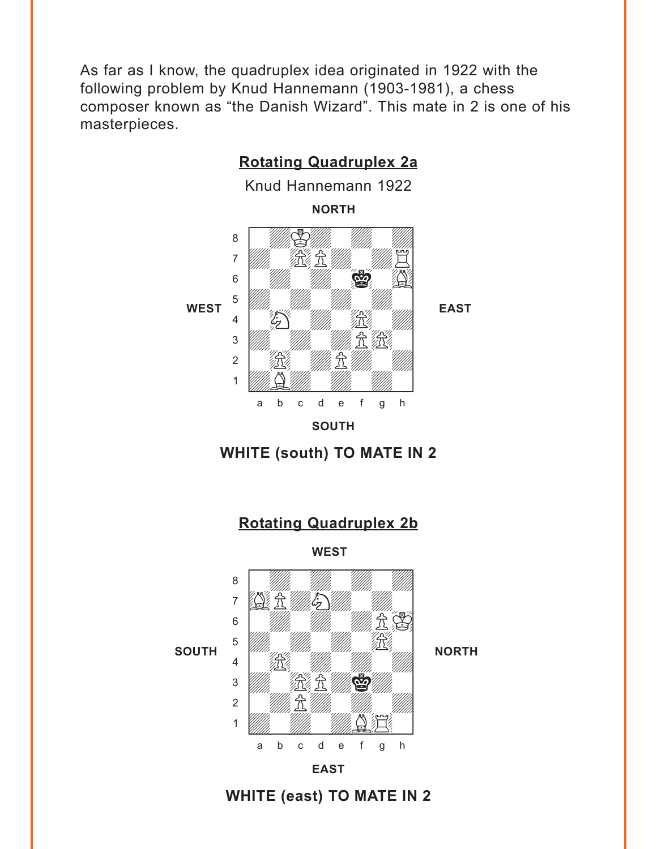<span id="page-3-0"></span>As far as I know, the quadruplex idea originated in 1922 with the following problem by Knud Hannemann (1903-1981), a chess composer known as "the Danish Wizard". This mate in 2 is one of his masterpieces.



**WHITE (south) TO MATE IN 2**



**WEST**



#### **WHITE (east) TO MATE IN 2**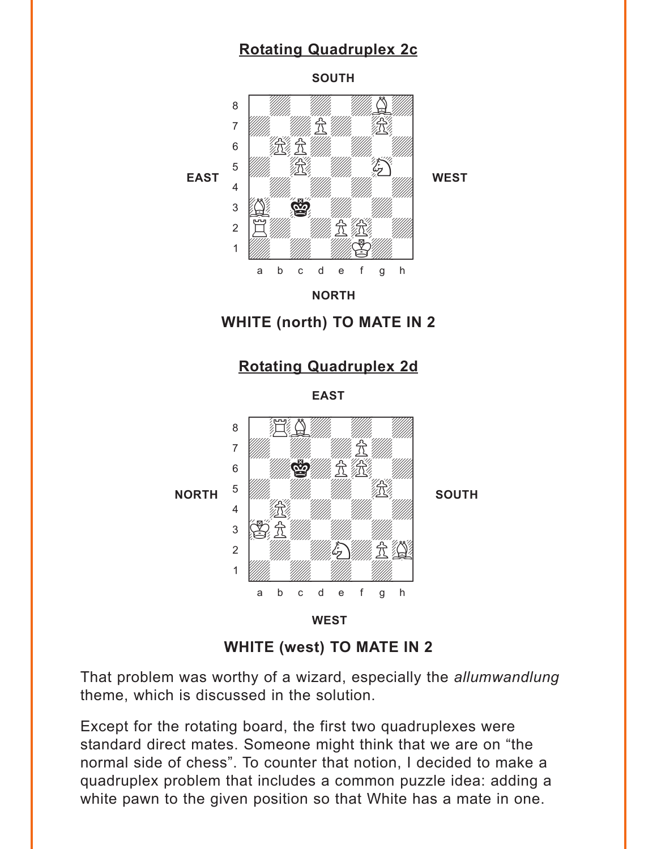### **[Rotating Quadruplex 2c](#page-10-0)**

**SOUTH**

<span id="page-4-0"></span>

**WHITE (north) TO MATE IN 2**

#### **[Rotating Quadruplex 2d](#page-10-0)**

**EAST**



**WHITE (west) TO MATE IN 2**

That problem was worthy of a wizard, especially the *allumwandlung* theme, which is discussed in the solution.

Except for the rotating board, the first two quadruplexes were standard direct mates. Someone might think that we are on "the normal side of chess". To counter that notion, I decided to make a quadruplex problem that includes a common puzzle idea: adding a white pawn to the given position so that White has a mate in one.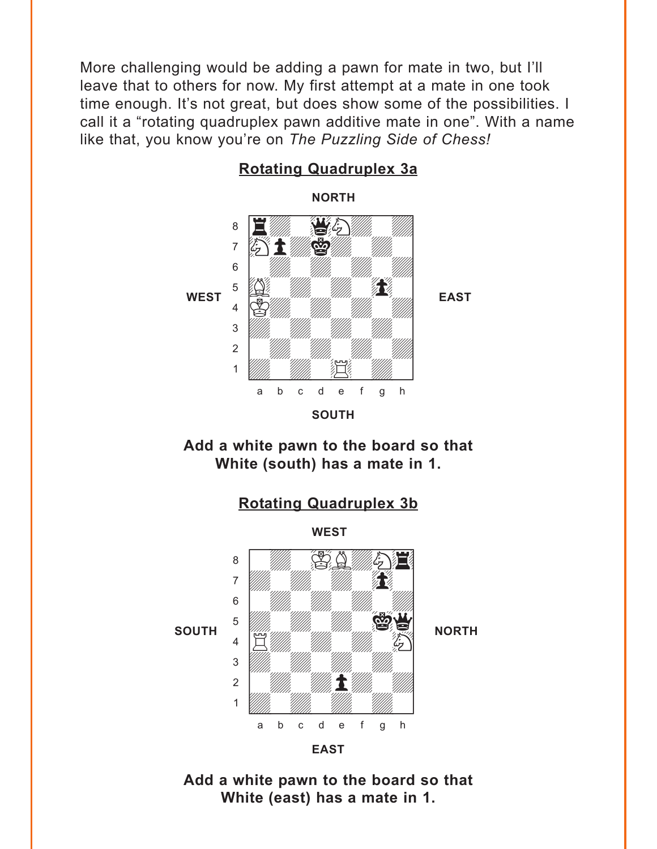<span id="page-5-0"></span>More challenging would be adding a pawn for mate in two, but I'll leave that to others for now. My first attempt at a mate in one took time enough. It's not great, but does show some of the possibilities. I call it a "rotating quadruplex pawn additive mate in one". With a name like that, you know you're on *The Puzzling Side of Chess!*



#### **[Rotating Quadruplex 3a](#page-11-0)**





**Add a white pawn to the board so that White (east) has a mate in 1.**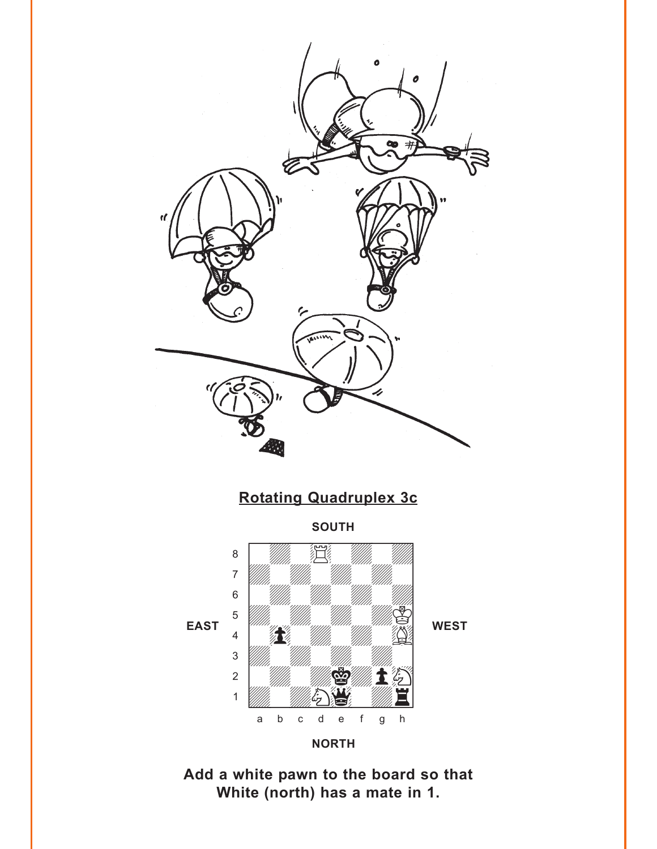<span id="page-6-0"></span>



**SOUTH**



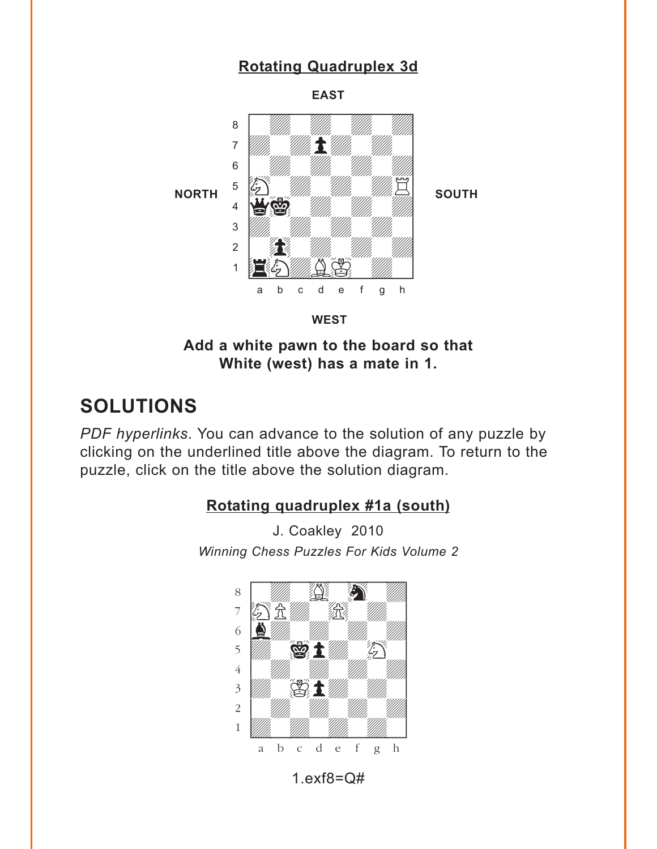# **[Rotating Quadruplex 3d](#page-12-0)**

**EAST**

<span id="page-7-0"></span>

**WEST**

**Add a white pawn to the board so that White (west) has a mate in 1.**

# **SOLUTIONS**

*PDF hyperlinks*. You can advance to the solution of any puzzle by clicking on the underlined title above the diagram. To return to the puzzle, click on the title above the solution diagram.

### **[Rotating quadruplex #1a \(south\)](#page-0-0)**

J. Coakley 2010 *Winning Chess Puzzles For Kids Volume 2*



1.exf8=Q#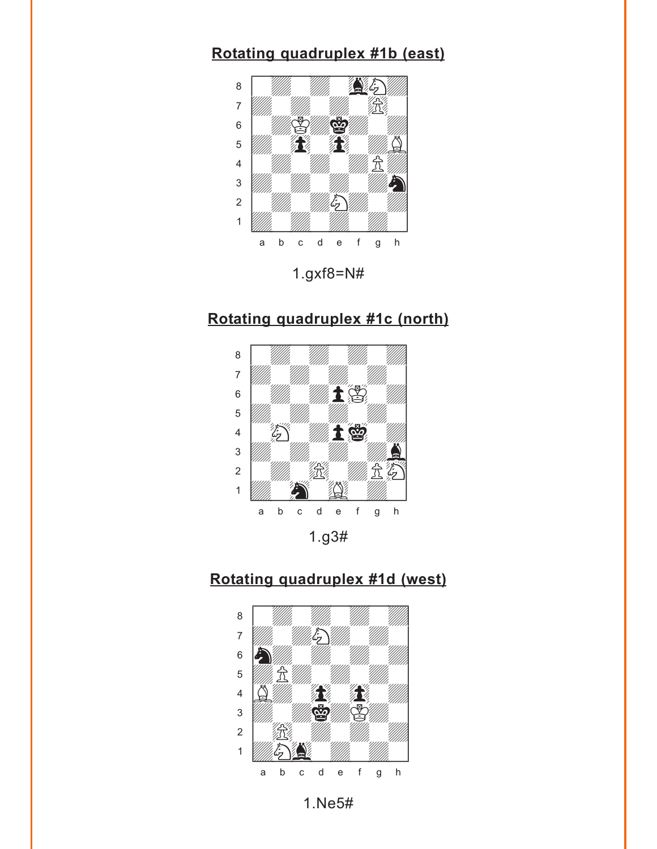#### <span id="page-8-0"></span>**[Rotating quadruplex #1b \(east\)](#page-1-0)** <u>way qaan aprove ee too</u>



1.gxf8=N#

#### **[Rotating quadruplex #1c \(north\)](#page-2-0)**



**[Rotating quadruplex #1d \(west\)](#page-2-0)**



1.Ne5#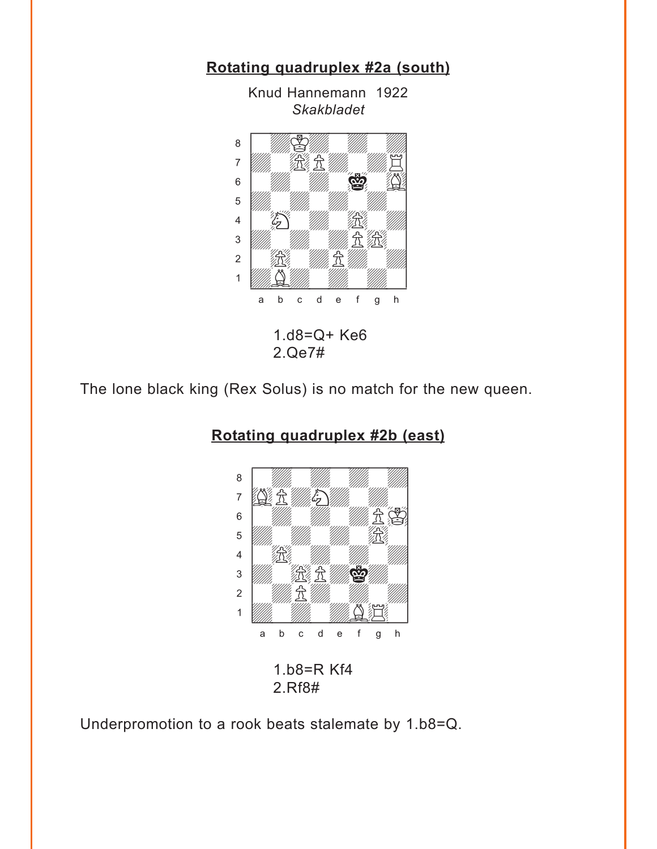<span id="page-9-0"></span>

The lone black king (Rex Solus) is no match for the new queen.



**[Rotating quadruplex #2b \(east\)](#page-3-0)**

Underpromotion to a rook beats stalemate by 1.b8=Q.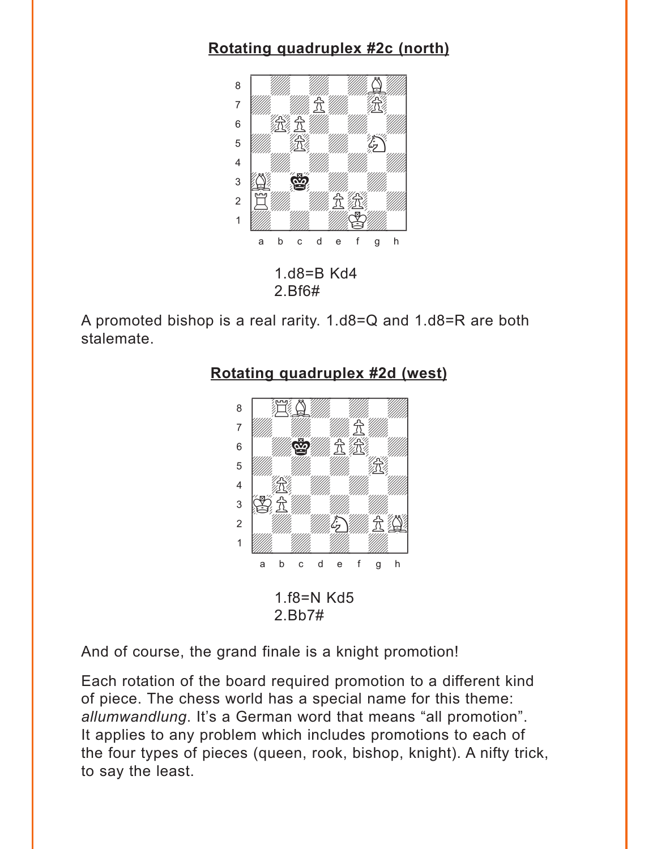# <span id="page-10-0"></span>**[Rotating quadruplex #2c \(north\)](#page-4-0)**



A promoted bishop is a real rarity. 1.d8=Q and 1.d8=R are both stalemate.



#### **[Rotating quadruplex #2d \(west\)](#page-4-0)**

And of course, the grand finale is a knight promotion!

Each rotation of the board required promotion to a different kind of piece. The chess world has a special name for this theme: *allumwandlung*. It's a German word that means "all promotion". It applies to any problem which includes promotions to each of the four types of pieces (queen, rook, bishop, knight). A nifty trick, to say the least.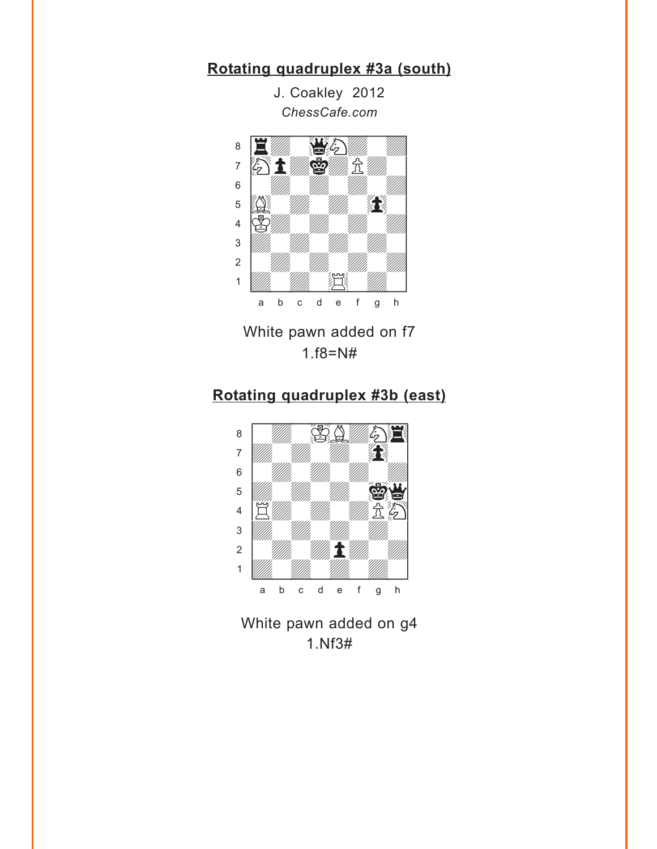<span id="page-11-0"></span>**[Rotating quadruplex #3a \(south\)](#page-5-0)**

J. Coakley 2012 *ChessCafe.com*



White pawn added on f7 1.f8=N#

### **[Rotating quadruplex #3b \(east\)](#page-5-0)**



White pawn added on g4 1.Nf3#